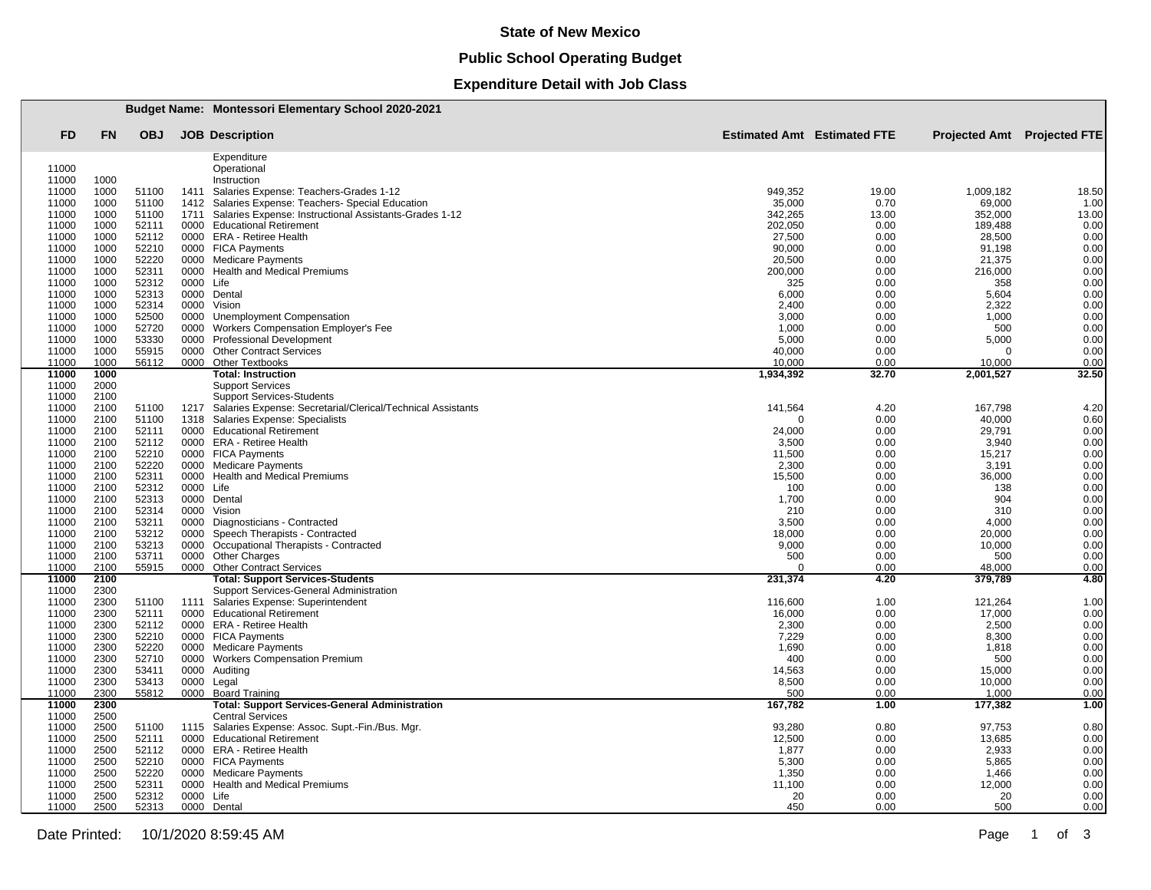#### **State of New Mexico**

# **Public School Operating Budget**

## **Expenditure Detail with Job Class**

|                |              |                |                   | <b>Budget Name: Montessori Elementary School 2020-2021</b>                       |                  |                                    |                             |              |  |
|----------------|--------------|----------------|-------------------|----------------------------------------------------------------------------------|------------------|------------------------------------|-----------------------------|--------------|--|
| FD             | <b>FN</b>    | <b>OBJ</b>     |                   | <b>JOB</b> Description                                                           |                  | <b>Estimated Amt</b> Estimated FTE | Projected Amt Projected FTE |              |  |
|                |              |                |                   | Expenditure                                                                      |                  |                                    |                             |              |  |
| 11000          |              |                |                   | Operational                                                                      |                  |                                    |                             |              |  |
| 11000<br>11000 | 1000<br>1000 | 51100          | 1411              | Instruction<br>Salaries Expense: Teachers-Grades 1-12                            | 949.352          | 19.00                              | 1,009,182                   | 18.50        |  |
| 11000          | 1000         | 51100          | 1412              | Salaries Expense: Teachers- Special Education                                    | 35,000           | 0.70                               | 69,000                      | 1.00         |  |
| 11000          | 1000         | 51100          | 1711              | Salaries Expense: Instructional Assistants-Grades 1-12                           | 342,265          | 13.00                              | 352,000                     | 13.00        |  |
| 11000          | 1000         | 52111          | 0000              | <b>Educational Retirement</b>                                                    | 202,050          | 0.00                               | 189,488                     | 0.00         |  |
| 11000          | 1000         | 52112          | 0000              | <b>ERA - Retiree Health</b>                                                      | 27,500           | 0.00                               | 28,500                      | 0.00         |  |
| 11000          | 1000         | 52210          |                   | 0000 FICA Payments                                                               | 90,000           | 0.00                               | 91,198                      | 0.00         |  |
| 11000<br>11000 | 1000<br>1000 | 52220<br>52311 | 0000<br>0000      | <b>Medicare Payments</b><br><b>Health and Medical Premiums</b>                   | 20,500           | 0.00<br>0.00                       | 21,375                      | 0.00<br>0.00 |  |
| 11000          | 1000         | 52312          | 0000              | Life                                                                             | 200,000<br>325   | 0.00                               | 216,000<br>358              | 0.00         |  |
| 11000          | 1000         | 52313          | 0000              | Dental                                                                           | 6,000            | 0.00                               | 5,604                       | 0.00         |  |
| 11000          | 1000         | 52314          | 0000              | Vision                                                                           | 2,400            | 0.00                               | 2,322                       | 0.00         |  |
| 11000          | 1000         | 52500          | 0000              | <b>Unemployment Compensation</b>                                                 | 3,000            | 0.00                               | 1,000                       | 0.00         |  |
| 11000          | 1000         | 52720          | 0000              | Workers Compensation Employer's Fee                                              | 1,000            | 0.00                               | 500                         | 0.00         |  |
| 11000          | 1000         | 53330          | 0000              | <b>Professional Development</b>                                                  | 5,000            | 0.00                               | 5,000                       | 0.00         |  |
| 11000<br>11000 | 1000<br>1000 | 55915<br>56112 | 0000              | <b>Other Contract Services</b><br>0000 Other Textbooks                           | 40,000<br>10,000 | 0.00<br>0.00                       | $\Omega$<br>10,000          | 0.00<br>0.00 |  |
| 11000          | 1000         |                |                   | <b>Total: Instruction</b>                                                        | 1,934,392        | 32.70                              | 2,001,527                   | 32.50        |  |
| 11000          | 2000         |                |                   | <b>Support Services</b>                                                          |                  |                                    |                             |              |  |
| 11000          | 2100         |                |                   | <b>Support Services-Students</b>                                                 |                  |                                    |                             |              |  |
| 11000          | 2100         | 51100          | 1217              | Salaries Expense: Secretarial/Clerical/Technical Assistants                      | 141,564          | 4.20                               | 167,798                     | 4.20         |  |
| 11000          | 2100         | 51100          | 1318              | Salaries Expense: Specialists                                                    | $\Omega$         | 0.00                               | 40,000                      | 0.60         |  |
| 11000          | 2100<br>2100 | 52111<br>52112 |                   | 0000 Educational Retirement                                                      | 24,000           | 0.00                               | 29,791                      | 0.00         |  |
| 11000<br>11000 | 2100         | 52210          |                   | 0000 ERA - Retiree Health<br>0000 FICA Payments                                  | 3,500<br>11,500  | 0.00<br>0.00                       | 3,940<br>15,217             | 0.00<br>0.00 |  |
| 11000          | 2100         | 52220          | 0000              | <b>Medicare Payments</b>                                                         | 2,300            | 0.00                               | 3,191                       | 0.00         |  |
| 11000          | 2100         | 52311          | 0000              | <b>Health and Medical Premiums</b>                                               | 15,500           | 0.00                               | 36,000                      | 0.00         |  |
| 11000          | 2100         | 52312          | 0000 Life         |                                                                                  | 100              | 0.00                               | 138                         | 0.00         |  |
| 11000          | 2100         | 52313          | 0000              | Dental                                                                           | 1,700            | 0.00                               | 904                         | 0.00         |  |
| 11000          | 2100         | 52314          | 0000              | Vision                                                                           | 210              | 0.00                               | 310                         | 0.00         |  |
| 11000          | 2100         | 53211          | 0000              | Diagnosticians - Contracted                                                      | 3,500            | 0.00                               | 4,000                       | 0.00         |  |
| 11000<br>11000 | 2100<br>2100 | 53212<br>53213 | 0000<br>0000      | Speech Therapists - Contracted<br>Occupational Therapists - Contracted           | 18,000           | 0.00<br>0.00                       | 20,000<br>10,000            | 0.00<br>0.00 |  |
| 11000          | 2100         | 53711          | 0000              | <b>Other Charges</b>                                                             | 9,000<br>500     | 0.00                               | 500                         | 0.00         |  |
| 11000          | 2100         | 55915          |                   | 0000 Other Contract Services                                                     | ∩                | 0.00                               | 48.000                      | 0.00         |  |
| 11000          | 2100         |                |                   | <b>Total: Support Services-Students</b>                                          | 231,374          | 4.20                               | 379,789                     | 4.80         |  |
| 11000          | 2300         |                |                   | Support Services-General Administration                                          |                  |                                    |                             |              |  |
| 11000          | 2300         | 51100          | 1111              | Salaries Expense: Superintendent                                                 | 116,600          | 1.00                               | 121,264                     | 1.00         |  |
| 11000          | 2300         | 52111          |                   | 0000 Educational Retirement                                                      | 16,000           | 0.00                               | 17,000<br>2,500             | 0.00         |  |
| 11000<br>11000 | 2300<br>2300 | 52112<br>52210 |                   | 0000 ERA - Retiree Health<br>0000 FICA Payments                                  | 2,300<br>7,229   | 0.00<br>0.00                       | 8,300                       | 0.00<br>0.00 |  |
| 11000          | 2300         | 52220          | 0000              | <b>Medicare Payments</b>                                                         | 1,690            | 0.00                               | 1,818                       | 0.00         |  |
| 11000          | 2300         | 52710          | 0000              | <b>Workers Compensation Premium</b>                                              | 400              | 0.00                               | 500                         | 0.00         |  |
| 11000          | 2300         | 53411          | 0000              | Auditing                                                                         | 14,563           | 0.00                               | 15,000                      | 0.00         |  |
| 11000          | 2300         | 53413          | 0000              | Legal                                                                            | 8,500            | 0.00                               | 10,000                      | 0.00         |  |
| 11000          | 2300         | 55812          |                   | 0000 Board Training                                                              | 500              | 0.00                               | 1,000                       | 0.00         |  |
| 11000<br>11000 | 2300<br>2500 |                |                   | <b>Total: Support Services-General Administration</b><br><b>Central Services</b> | 167,782          | 1.00                               | 177,382                     | 1.00         |  |
| 11000          | 2500         | 51100          | 1115              | Salaries Expense: Assoc. Supt.-Fin./Bus. Mgr.                                    | 93,280           | 0.80                               | 97,753                      | 0.80         |  |
| 11000          | 2500         | 52111          |                   | 0000 Educational Retirement                                                      | 12,500           | 0.00                               | 13,685                      | 0.00         |  |
| 11000          | 2500         | 52112          | 0000              | <b>ERA - Retiree Health</b>                                                      | 1,877            | 0.00                               | 2,933                       | 0.00         |  |
| 11000          | 2500         | 52210          |                   | 0000 FICA Payments                                                               | 5,300            | 0.00                               | 5,865                       | 0.00         |  |
| 11000          | 2500         | 52220          |                   | 0000 Medicare Payments                                                           | 1,350            | 0.00                               | 1,466                       | 0.00         |  |
| 11000<br>11000 | 2500<br>2500 | 52311<br>52312 | 0000<br>0000 Life | <b>Health and Medical Premiums</b>                                               | 11,100<br>20     | 0.00<br>0.00                       | 12,000<br>20                | 0.00<br>0.00 |  |
| 11000          | 2500         | 52313          |                   | 0000 Dental                                                                      | 450              | 0.00                               | 500                         | 0.00         |  |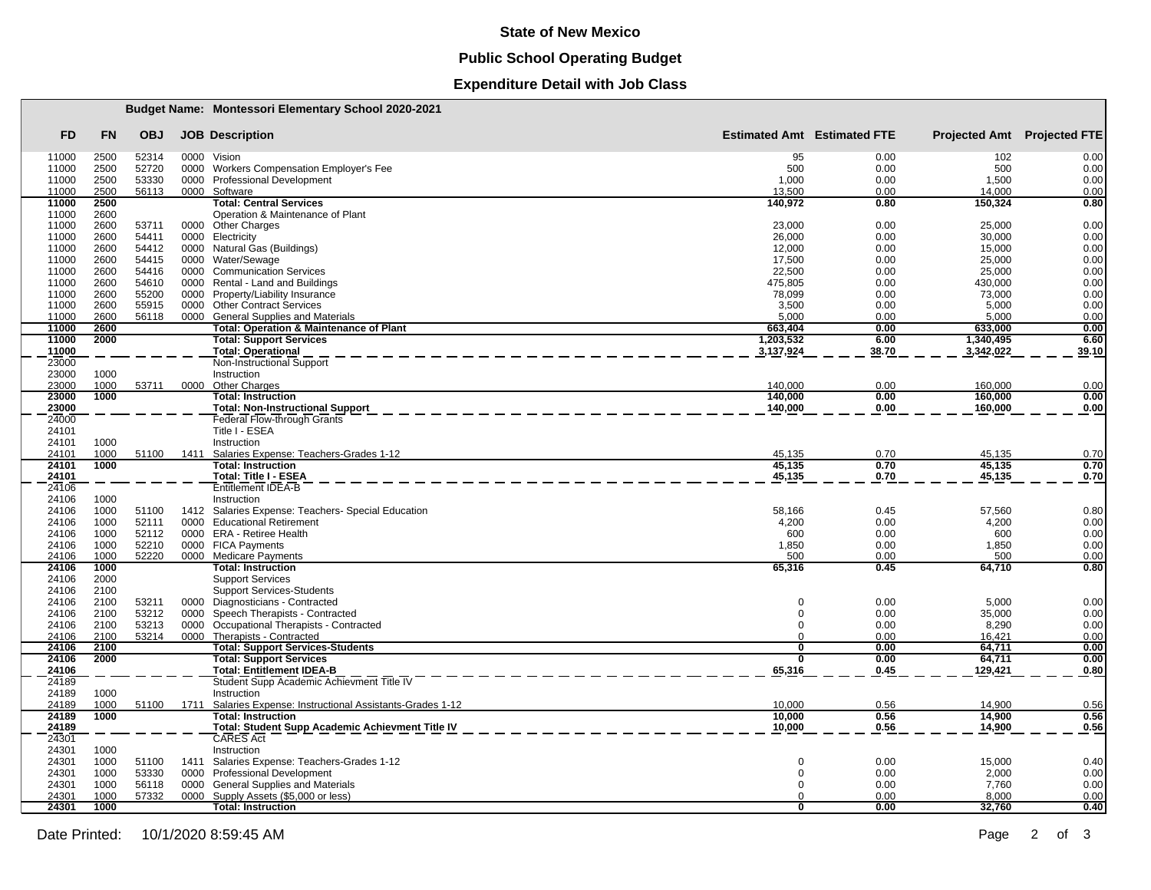#### **State of New Mexico**

# **Public School Operating Budget**

## **Expenditure Detail with Job Class**

|                |              |                |              | Budget Name: Montessori Elementary School 2020-2021                       |                            |                                    |                                    |              |
|----------------|--------------|----------------|--------------|---------------------------------------------------------------------------|----------------------------|------------------------------------|------------------------------------|--------------|
| <b>FD</b>      | <b>FN</b>    | <b>OBJ</b>     |              | <b>JOB Description</b>                                                    |                            | <b>Estimated Amt</b> Estimated FTE | <b>Projected Amt</b> Projected FTE |              |
| 11000          | 2500         | 52314          |              | 0000 Vision                                                               | 95                         | 0.00                               | 102                                | 0.00         |
| 11000          | 2500         | 52720          | 0000         | Workers Compensation Employer's Fee                                       | 500                        | 0.00                               | 500                                | 0.00         |
| 11000          | 2500         | 53330          |              | 0000 Professional Development                                             | 1,000                      | 0.00                               | 1,500                              | 0.00         |
| 11000          | 2500         | 56113          |              | 0000 Software                                                             | 13.500                     | 0.00                               | 14.000                             | 0.00         |
| 11000<br>11000 | 2500<br>2600 |                |              | <b>Total: Central Services</b><br>Operation & Maintenance of Plant        | 140.972                    | 0.80                               | 150,324                            | 0.80         |
| 11000          | 2600         | 53711          |              | 0000 Other Charges                                                        | 23,000                     | 0.00                               | 25,000                             | 0.00         |
| 11000          | 2600         | 54411          |              | 0000 Electricity                                                          | 26.000                     | 0.00                               | 30,000                             | 0.00         |
| 11000          | 2600         | 54412          |              | 0000 Natural Gas (Buildings)                                              | 12,000                     | 0.00                               | 15,000                             | 0.00         |
| 11000          | 2600         | 54415          |              | 0000 Water/Sewage                                                         | 17,500                     | 0.00                               | 25,000                             | 0.00         |
| 11000          | 2600         | 54416          | 0000         | <b>Communication Services</b>                                             | 22,500                     | 0.00                               | 25,000                             | 0.00         |
| 11000          | 2600<br>2600 | 54610<br>55200 | 0000<br>0000 | Rental - Land and Buildings<br>Property/Liability Insurance               | 475,805<br>78,099          | 0.00<br>0.00                       | 430,000<br>73,000                  | 0.00<br>0.00 |
| 11000<br>11000 | 2600         | 55915          | 0000         | <b>Other Contract Services</b>                                            | 3,500                      | 0.00                               | 5,000                              | 0.00         |
| 11000          | 2600         | 56118          |              | 0000 General Supplies and Materials                                       | 5.000                      | 0.00                               | 5.000                              | 0.00         |
| 11000          | 2600         |                |              | <b>Total: Operation &amp; Maintenance of Plant</b>                        | 663,404                    | 0.00                               | 633,000                            | 0.00         |
| 11000          | 2000         |                |              | <b>Total: Support Services</b>                                            | 1,203,532                  | 6.00                               | 1,340,495                          | 6.60         |
| 11000          |              |                |              | <b>Total: Operational</b>                                                 | 3,137,924                  | 38.70                              | 3,342,022                          | 39.10        |
| 23000          |              |                |              | Non-Instructional Support                                                 |                            |                                    |                                    |              |
| 23000          | 1000         |                |              | Instruction                                                               |                            |                                    |                                    |              |
| 23000          | 1000         | 53711          | 0000         | <b>Other Charges</b>                                                      | 140,000                    | 0.00                               | 160.000                            | 0.00         |
| 23000          | 1000         |                |              | <b>Total: Instruction</b>                                                 | 140,000                    | 0.00                               | 160,000                            | 0.00         |
| 23000          |              |                |              | <b>Total: Non-Instructional Support</b>                                   | 140,000                    | 0.00                               | 160,000                            | 0.00         |
| 24000          |              |                |              | Federal Flow-through Grants                                               |                            |                                    |                                    |              |
| 24101          |              |                |              | Title I - ESEA                                                            |                            |                                    |                                    |              |
| 24101          | 1000         |                |              | Instruction                                                               |                            |                                    |                                    |              |
| 24101<br>24101 | 1000<br>1000 | 51100          | 1411         | Salaries Expense: Teachers-Grades 1-12                                    | 45,135<br>45.135           | 0.70<br>0.70                       | 45,135<br>45,135                   | 0.70         |
| 24101          |              |                |              | <b>Total: Instruction</b><br>Total: Title I - ESEA                        | 45,135                     | 0.70                               | 45,135                             | 0.70         |
| 24106          |              |                |              | Entitlement IDEA-B                                                        |                            |                                    |                                    | 0.70         |
| 24106          | 1000         |                |              | Instruction                                                               |                            |                                    |                                    |              |
| 24106          | 1000         | 51100          |              | 1412 Salaries Expense: Teachers- Special Education                        | 58,166                     | 0.45                               | 57,560                             | 0.80         |
| 24106          | 1000         | 52111          | 0000         | <b>Educational Retirement</b>                                             | 4,200                      | 0.00                               | 4,200                              | 0.00         |
| 24106          | 1000         | 52112          |              | 0000 ERA - Retiree Health                                                 | 600                        | 0.00                               | 600                                | 0.00         |
| 24106          | 1000         | 52210          |              | 0000 FICA Payments                                                        | 1,850                      | 0.00                               | 1,850                              | 0.00         |
| 24106          | 1000         | 52220          | 0000         | <b>Medicare Payments</b>                                                  | 500                        | 0.00                               | 500                                | 0.00         |
| 24106          | 1000         |                |              | <b>Total: Instruction</b>                                                 | 65,316                     | 0.45                               | 64,710                             | 0.80         |
| 24106          | 2000         |                |              | <b>Support Services</b>                                                   |                            |                                    |                                    |              |
| 24106          | 2100         |                |              | <b>Support Services-Students</b>                                          |                            |                                    |                                    |              |
| 24106          | 2100         | 53211          |              | 0000 Diagnosticians - Contracted                                          | $\Omega$                   | 0.00                               | 5,000                              | 0.00         |
| 24106          | 2100         | 53212          |              | 0000 Speech Therapists - Contracted                                       | $\Omega$                   | 0.00                               | 35,000                             | 0.00         |
| 24106          | 2100         | 53213          |              | 0000 Occupational Therapists - Contracted                                 | $\Omega$                   | 0.00                               | 8,290                              | 0.00         |
| 24106<br>24106 | 2100<br>2100 | 53214          | 0000         | Therapists - Contracted                                                   | $\Omega$<br>$\overline{0}$ | 0.00<br>0.00                       | 16,421                             | 0.00<br>0.00 |
| 24106          | 2000         |                |              | <b>Total: Support Services-Students</b><br><b>Total: Support Services</b> | $\overline{0}$             | 0.00                               | 64,711                             | 0.00         |
| 24106          |              |                |              | <b>Total: Entitlement IDEA-B</b>                                          | 65,316                     | 0.45                               | 64,711<br>129,421                  | 0.80         |
| 24189          |              |                |              | Student Supp Academic Achievment Title IV                                 |                            |                                    |                                    |              |
| 24189          | 1000         |                |              | Instruction                                                               |                            |                                    |                                    |              |
| 24189          | 1000         | 51100          |              | 1711 Salaries Expense: Instructional Assistants-Grades 1-12               | 10,000                     | 0.56                               | 14,900                             | 0.56         |
| 24189          | 1000         |                |              | <b>Total: Instruction</b>                                                 | 10.000                     | 0.56                               | 14,900                             | 0.56         |
| 24189          |              |                |              | Total: Student Supp Academic Achievment Title IV                          | 10,000                     | 0.56                               | 14,900                             | 0.56         |
| 24301          |              |                |              | CARES Act                                                                 |                            |                                    |                                    |              |
| 24301          | 1000         |                |              | Instruction                                                               |                            |                                    |                                    |              |
| 24301          | 1000         | 51100          | 1411         | Salaries Expense: Teachers-Grades 1-12                                    | $\Omega$                   | 0.00                               | 15,000                             | 0.40         |
| 24301          | 1000         | 53330          | 0000         | <b>Professional Development</b>                                           | $\Omega$                   | 0.00                               | 2,000                              | 0.00         |
| 24301          | 1000         | 56118          | 0000         | General Supplies and Materials                                            | $\Omega$                   | 0.00                               | 7,760                              | 0.00         |
| 24301          | 1000         | 57332          | 0000         | Supply Assets (\$5,000 or less)                                           | $\Omega$                   | 0.00                               | 8.000                              | 0.00         |
| 24301          | 1000         |                |              | <b>Total: Instruction</b>                                                 | $\overline{\mathbf{0}}$    | 0.00                               | 32,760                             | 0.40         |